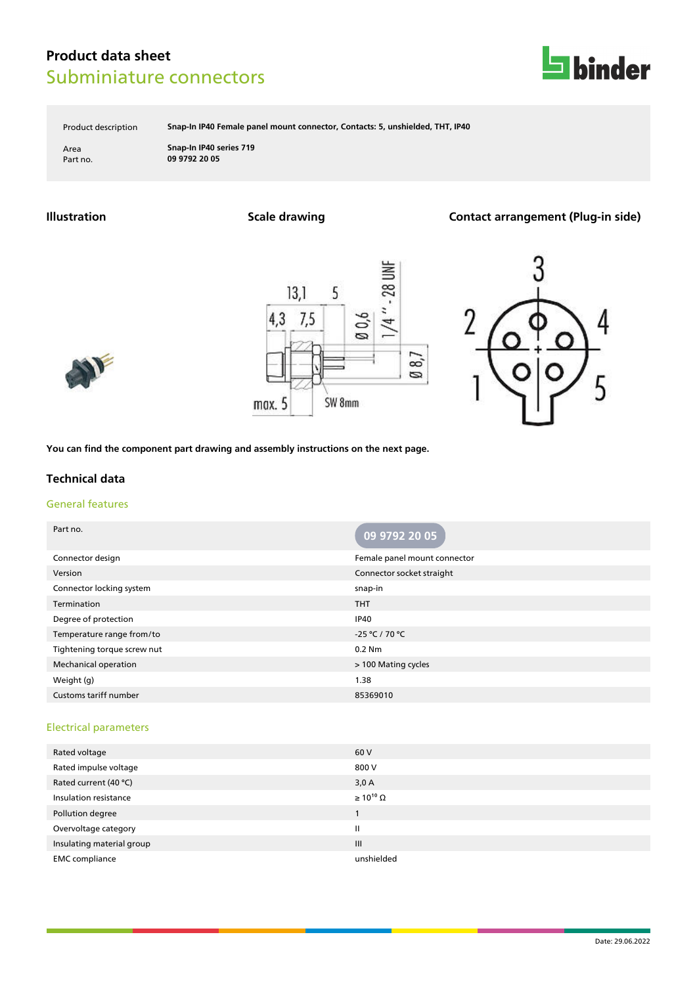

Product description **Snap-In IP40 Female panel mount connector, Contacts: 5, unshielded, THT, IP40**

Area **Snap-In IP40 series 719** Part no. **09 9792 20 05**

**Illustration Scale drawing Contact arrangement (Plug-in side)**







**You can find the component part drawing and assembly instructions on the next page.**

### **Technical data**

### General features

| Part no.                     | 09 9792 20 05                |
|------------------------------|------------------------------|
| Connector design             | Female panel mount connector |
| Version                      | Connector socket straight    |
| Connector locking system     | snap-in                      |
| Termination                  | <b>THT</b>                   |
| Degree of protection         | <b>IP40</b>                  |
| Temperature range from/to    | -25 °C / 70 °C               |
| Tightening torque screw nut  | 0.2 Nm                       |
| <b>Mechanical operation</b>  | > 100 Mating cycles          |
| Weight (g)                   | 1.38                         |
| <b>Customs tariff number</b> | 85369010                     |

#### Electrical parameters

| Rated voltage             | 60 V                  |
|---------------------------|-----------------------|
| Rated impulse voltage     | 800 V                 |
| Rated current (40 °C)     | 3,0A                  |
| Insulation resistance     | $\geq 10^{10} \Omega$ |
| Pollution degree          |                       |
| Overvoltage category      | Ш                     |
| Insulating material group | III                   |
| <b>EMC</b> compliance     | unshielded            |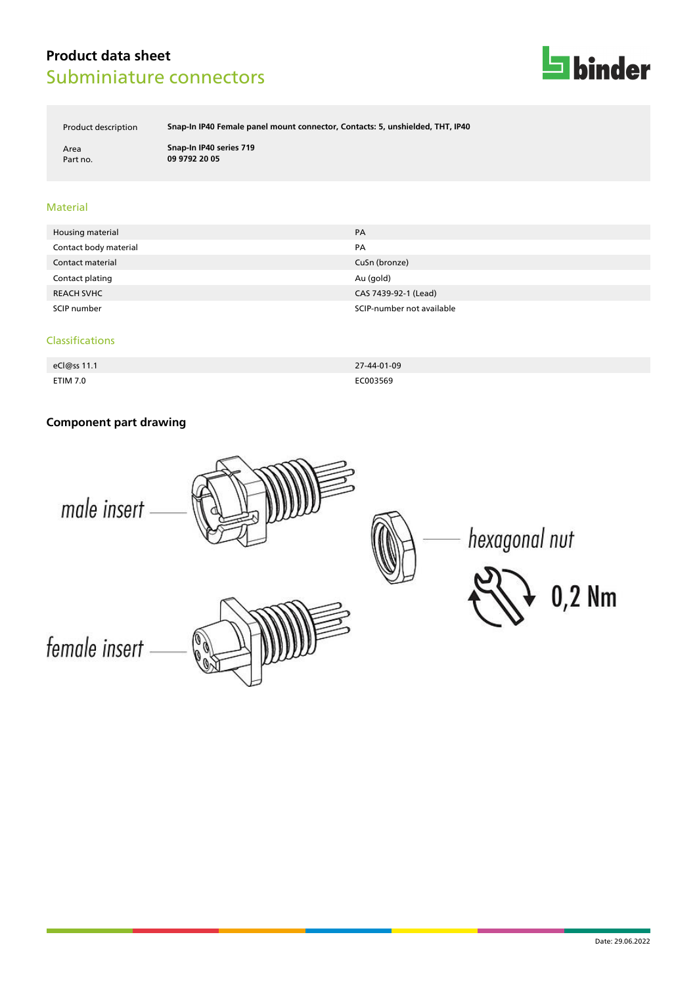

Product description **Snap-In IP40 Female panel mount connector, Contacts: 5, unshielded, THT, IP40**

Area **Snap-In IP40 series 719** Part no. **09 9792 20 05**

### Material

| Housing material      | PA                        |
|-----------------------|---------------------------|
| Contact body material | PA                        |
| Contact material      | CuSn (bronze)             |
| Contact plating       | Au (gold)                 |
| <b>REACH SVHC</b>     | CAS 7439-92-1 (Lead)      |
| SCIP number           | SCIP-number not available |

#### Classifications

| eCl@ss 11.1     | 27-44-01-09 |
|-----------------|-------------|
| <b>ETIM 7.0</b> | EC003569    |

# **Component part drawing**

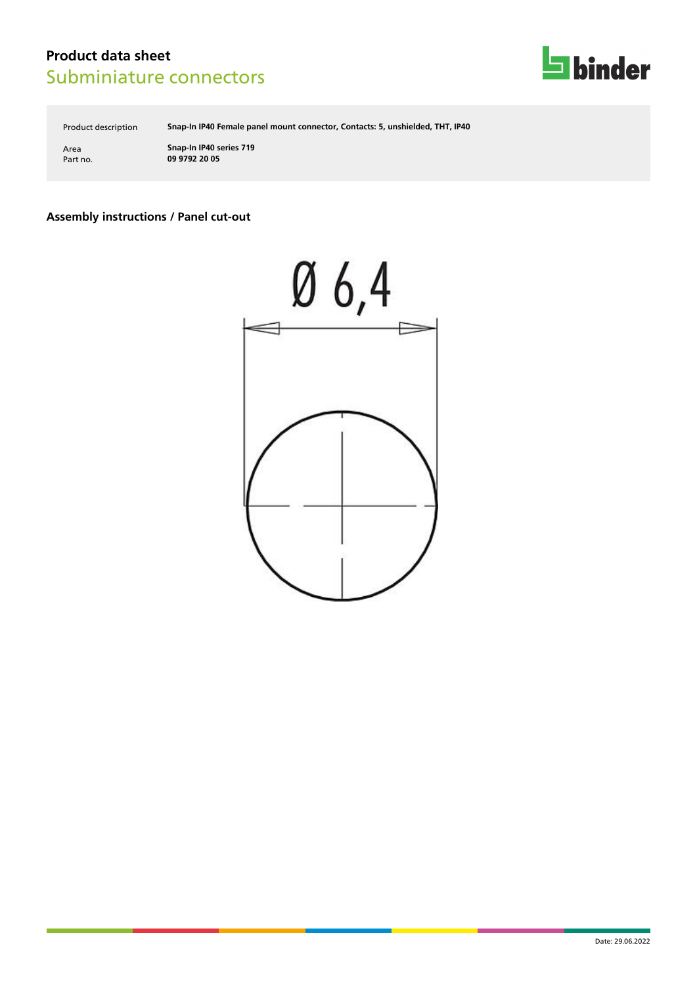

Product description **Snap-In IP40 Female panel mount connector, Contacts: 5, unshielded, THT, IP40**

Area **Snap-In IP40 series 719** Part no. **09 9792 20 05**

### **Assembly instructions / Panel cut-out**